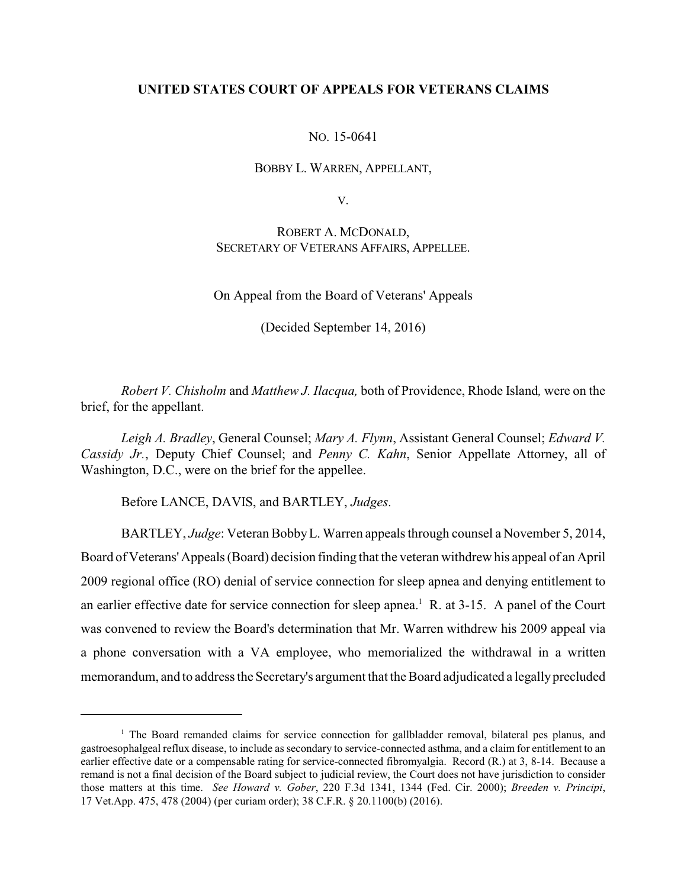## **UNITED STATES COURT OF APPEALS FOR VETERANS CLAIMS**

NO. 15-0641

BOBBY L. WARREN, APPELLANT,

V.

ROBERT A. MCDONALD, SECRETARY OF VETERANS AFFAIRS, APPELLEE.

On Appeal from the Board of Veterans' Appeals

(Decided September 14, 2016)

*Robert V. Chisholm* and *Matthew J. Ilacqua,* both of Providence, Rhode Island*,* were on the brief, for the appellant.

*Leigh A. Bradley*, General Counsel; *Mary A. Flynn*, Assistant General Counsel; *Edward V. Cassidy Jr.*, Deputy Chief Counsel; and *Penny C. Kahn*, Senior Appellate Attorney, all of Washington, D.C., were on the brief for the appellee.

Before LANCE, DAVIS, and BARTLEY, *Judges*.

BARTLEY, *Judge*: Veteran BobbyL. Warren appeals through counsel a November 5, 2014, Board of Veterans' Appeals (Board) decision finding that the veteran withdrew his appeal of an April 2009 regional office (RO) denial of service connection for sleep apnea and denying entitlement to an earlier effective date for service connection for sleep apnea.<sup>1</sup> R. at  $3-15$ . A panel of the Court was convened to review the Board's determination that Mr. Warren withdrew his 2009 appeal via a phone conversation with a VA employee, who memorialized the withdrawal in a written memorandum, and to address the Secretary's argument that the Board adjudicated a legallyprecluded

 $1$  The Board remanded claims for service connection for gallbladder removal, bilateral pes planus, and gastroesophalgeal reflux disease, to include as secondary to service-connected asthma, and a claim for entitlement to an earlier effective date or a compensable rating for service-connected fibromyalgia. Record (R.) at 3, 8-14. Because a remand is not a final decision of the Board subject to judicial review, the Court does not have jurisdiction to consider those matters at this time. *See Howard v. Gober*, 220 F.3d 1341, 1344 (Fed. Cir. 2000); *Breeden v. Principi*, 17 Vet.App. 475, 478 (2004) (per curiam order); 38 C.F.R. § 20.1100(b) (2016).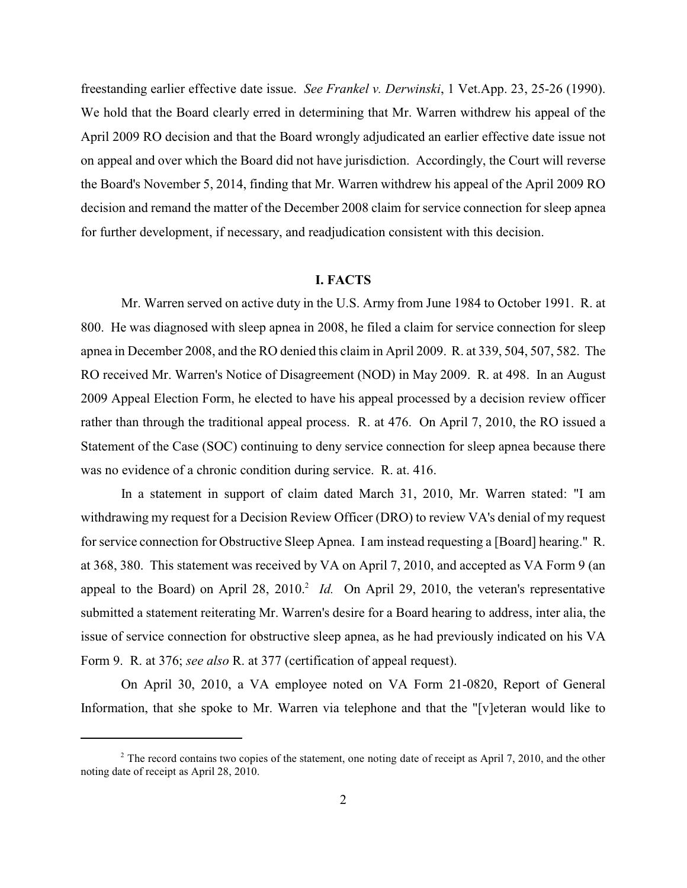freestanding earlier effective date issue. *See Frankel v. Derwinski*, 1 Vet.App. 23, 25-26 (1990). We hold that the Board clearly erred in determining that Mr. Warren withdrew his appeal of the April 2009 RO decision and that the Board wrongly adjudicated an earlier effective date issue not on appeal and over which the Board did not have jurisdiction. Accordingly, the Court will reverse the Board's November 5, 2014, finding that Mr. Warren withdrew his appeal of the April 2009 RO decision and remand the matter of the December 2008 claim for service connection for sleep apnea for further development, if necessary, and readjudication consistent with this decision.

# **I. FACTS**

Mr. Warren served on active duty in the U.S. Army from June 1984 to October 1991. R. at 800. He was diagnosed with sleep apnea in 2008, he filed a claim for service connection for sleep apnea in December 2008, and the RO denied this claim in April 2009. R. at 339, 504, 507, 582. The RO received Mr. Warren's Notice of Disagreement (NOD) in May 2009. R. at 498. In an August 2009 Appeal Election Form, he elected to have his appeal processed by a decision review officer rather than through the traditional appeal process. R. at 476. On April 7, 2010, the RO issued a Statement of the Case (SOC) continuing to deny service connection for sleep apnea because there was no evidence of a chronic condition during service. R. at. 416.

In a statement in support of claim dated March 31, 2010, Mr. Warren stated: "I am withdrawing my request for a Decision Review Officer (DRO) to review VA's denial of my request for service connection for Obstructive Sleep Apnea. I am instead requesting a [Board] hearing." R. at 368, 380. This statement was received by VA on April 7, 2010, and accepted as VA Form 9 (an appeal to the Board) on April 28, 2010.<sup>2</sup> *Id.* On April 29, 2010, the veteran's representative submitted a statement reiterating Mr. Warren's desire for a Board hearing to address, inter alia, the issue of service connection for obstructive sleep apnea, as he had previously indicated on his VA Form 9. R. at 376; *see also* R. at 377 (certification of appeal request).

On April 30, 2010, a VA employee noted on VA Form 21-0820, Report of General Information, that she spoke to Mr. Warren via telephone and that the "[v]eteran would like to

<sup>&</sup>lt;sup>2</sup> The record contains two copies of the statement, one noting date of receipt as April 7, 2010, and the other noting date of receipt as April 28, 2010.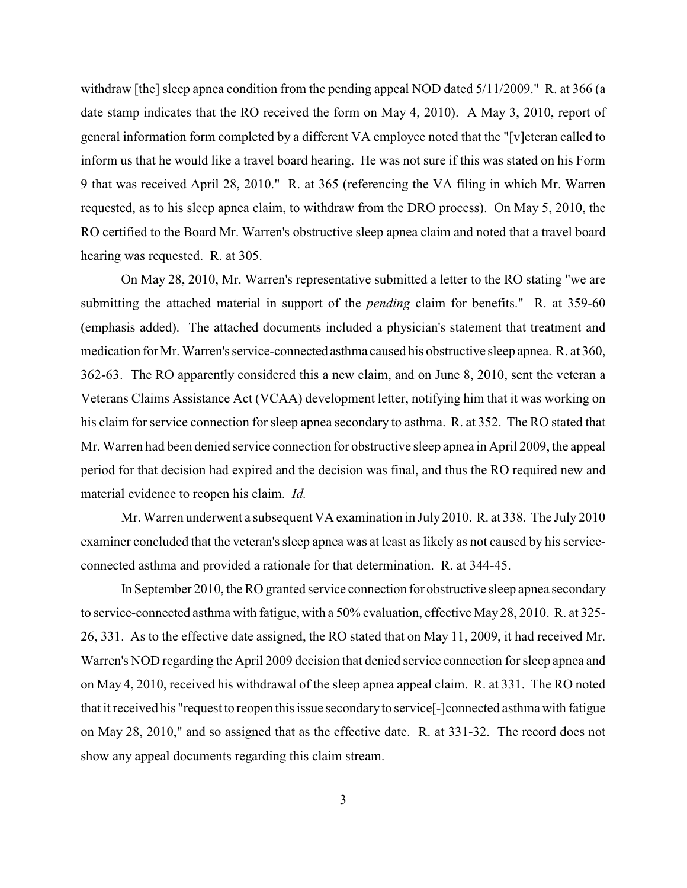withdraw [the] sleep apnea condition from the pending appeal NOD dated 5/11/2009." R. at 366 (a date stamp indicates that the RO received the form on May 4, 2010). A May 3, 2010, report of general information form completed by a different VA employee noted that the "[v]eteran called to inform us that he would like a travel board hearing. He was not sure if this was stated on his Form 9 that was received April 28, 2010." R. at 365 (referencing the VA filing in which Mr. Warren requested, as to his sleep apnea claim, to withdraw from the DRO process). On May 5, 2010, the RO certified to the Board Mr. Warren's obstructive sleep apnea claim and noted that a travel board hearing was requested. R. at 305.

On May 28, 2010, Mr. Warren's representative submitted a letter to the RO stating "we are submitting the attached material in support of the *pending* claim for benefits." R. at 359-60 (emphasis added). The attached documents included a physician's statement that treatment and medication for Mr. Warren's service-connected asthma caused his obstructive sleep apnea. R. at 360, 362-63. The RO apparently considered this a new claim, and on June 8, 2010, sent the veteran a Veterans Claims Assistance Act (VCAA) development letter, notifying him that it was working on his claim for service connection for sleep apnea secondary to asthma. R. at 352. The RO stated that Mr. Warren had been denied service connection for obstructive sleep apnea in April 2009, the appeal period for that decision had expired and the decision was final, and thus the RO required new and material evidence to reopen his claim. *Id.*

Mr. Warren underwent a subsequent VA examination in July 2010. R. at 338. The July 2010 examiner concluded that the veteran's sleep apnea was at least as likely as not caused by his serviceconnected asthma and provided a rationale for that determination. R. at 344-45.

In September 2010, the RO granted service connection for obstructive sleep apnea secondary to service-connected asthma with fatigue, with a 50% evaluation, effective May 28, 2010. R. at 325- 26, 331. As to the effective date assigned, the RO stated that on May 11, 2009, it had received Mr. Warren's NOD regarding the April 2009 decision that denied service connection for sleep apnea and on May 4, 2010, received his withdrawal of the sleep apnea appeal claim. R. at 331. The RO noted that it received his "request to reopen this issue secondaryto service[-]connected asthma with fatigue on May 28, 2010," and so assigned that as the effective date. R. at 331-32. The record does not show any appeal documents regarding this claim stream.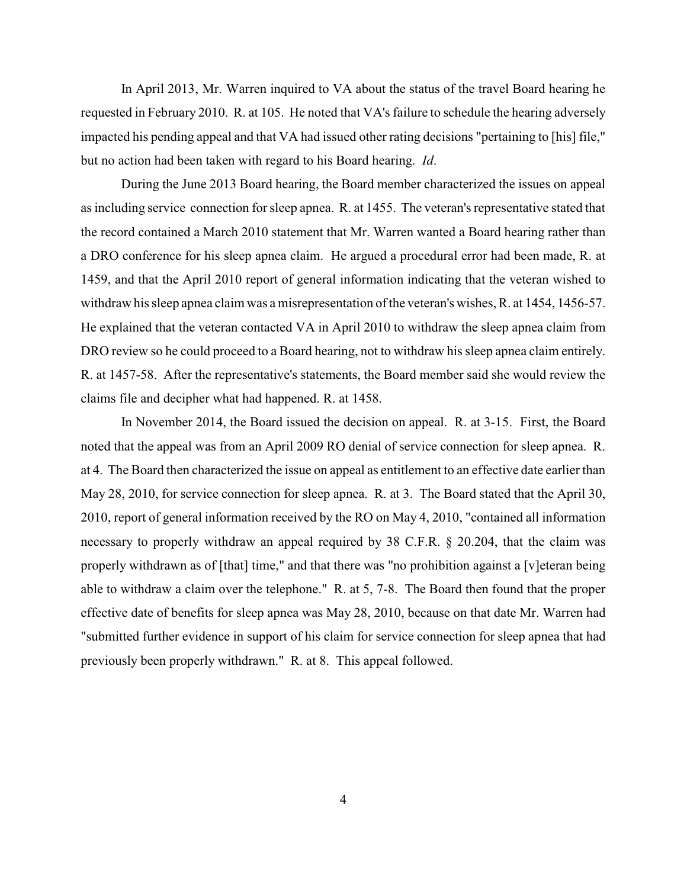In April 2013, Mr. Warren inquired to VA about the status of the travel Board hearing he requested in February 2010. R. at 105. He noted that VA's failure to schedule the hearing adversely impacted his pending appeal and that VA had issued other rating decisions "pertaining to [his] file," but no action had been taken with regard to his Board hearing. *Id*.

During the June 2013 Board hearing, the Board member characterized the issues on appeal as including service connection for sleep apnea. R. at 1455. The veteran's representative stated that the record contained a March 2010 statement that Mr. Warren wanted a Board hearing rather than a DRO conference for his sleep apnea claim. He argued a procedural error had been made, R. at 1459, and that the April 2010 report of general information indicating that the veteran wished to withdraw his sleep apnea claim was a misrepresentation of the veteran's wishes, R. at 1454, 1456-57. He explained that the veteran contacted VA in April 2010 to withdraw the sleep apnea claim from DRO review so he could proceed to a Board hearing, not to withdraw his sleep apnea claim entirely. R. at 1457-58. After the representative's statements, the Board member said she would review the claims file and decipher what had happened. R. at 1458.

In November 2014, the Board issued the decision on appeal. R. at 3-15. First, the Board noted that the appeal was from an April 2009 RO denial of service connection for sleep apnea. R. at 4. The Board then characterized the issue on appeal as entitlement to an effective date earlier than May 28, 2010, for service connection for sleep apnea. R. at 3. The Board stated that the April 30, 2010, report of general information received by the RO on May 4, 2010, "contained all information necessary to properly withdraw an appeal required by 38 C.F.R. § 20.204, that the claim was properly withdrawn as of [that] time," and that there was "no prohibition against a [v]eteran being able to withdraw a claim over the telephone." R. at 5, 7-8. The Board then found that the proper effective date of benefits for sleep apnea was May 28, 2010, because on that date Mr. Warren had "submitted further evidence in support of his claim for service connection for sleep apnea that had previously been properly withdrawn." R. at 8. This appeal followed.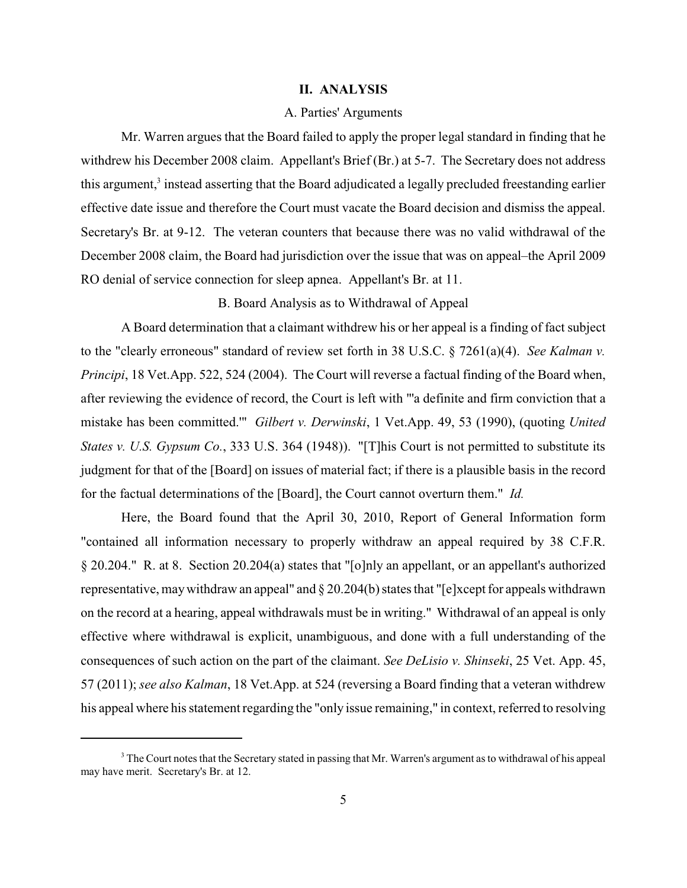#### **II. ANALYSIS**

#### A. Parties' Arguments

Mr. Warren argues that the Board failed to apply the proper legal standard in finding that he withdrew his December 2008 claim. Appellant's Brief (Br.) at 5-7. The Secretary does not address this argument,<sup>3</sup> instead asserting that the Board adjudicated a legally precluded freestanding earlier effective date issue and therefore the Court must vacate the Board decision and dismiss the appeal. Secretary's Br. at 9-12. The veteran counters that because there was no valid withdrawal of the December 2008 claim, the Board had jurisdiction over the issue that was on appeal–the April 2009 RO denial of service connection for sleep apnea. Appellant's Br. at 11.

#### B. Board Analysis as to Withdrawal of Appeal

A Board determination that a claimant withdrew his or her appeal is a finding of fact subject to the "clearly erroneous" standard of review set forth in 38 U.S.C. § 7261(a)(4). *See Kalman v. Principi*, 18 Vet.App. 522, 524 (2004). The Court will reverse a factual finding of the Board when, after reviewing the evidence of record, the Court is left with "'a definite and firm conviction that a mistake has been committed.'" *Gilbert v. Derwinski*, 1 Vet.App. 49, 53 (1990), (quoting *United States v. U.S. Gypsum Co.*, 333 U.S. 364 (1948)). "[T]his Court is not permitted to substitute its judgment for that of the [Board] on issues of material fact; if there is a plausible basis in the record for the factual determinations of the [Board], the Court cannot overturn them." *Id.*

Here, the Board found that the April 30, 2010, Report of General Information form "contained all information necessary to properly withdraw an appeal required by 38 C.F.R. § 20.204." R. at 8. Section 20.204(a) states that "[o]nly an appellant, or an appellant's authorized representative, maywithdraw an appeal" and § 20.204(b) states that "[e]xcept for appeals withdrawn on the record at a hearing, appeal withdrawals must be in writing." Withdrawal of an appeal is only effective where withdrawal is explicit, unambiguous, and done with a full understanding of the consequences of such action on the part of the claimant. *See DeLisio v. Shinseki*, 25 Vet. App. 45, 57 (2011); *see also Kalman*, 18 Vet.App. at 524 (reversing a Board finding that a veteran withdrew his appeal where his statement regarding the "only issue remaining," in context, referred to resolving

<sup>&</sup>lt;sup>3</sup> The Court notes that the Secretary stated in passing that Mr. Warren's argument as to withdrawal of his appeal may have merit. Secretary's Br. at 12.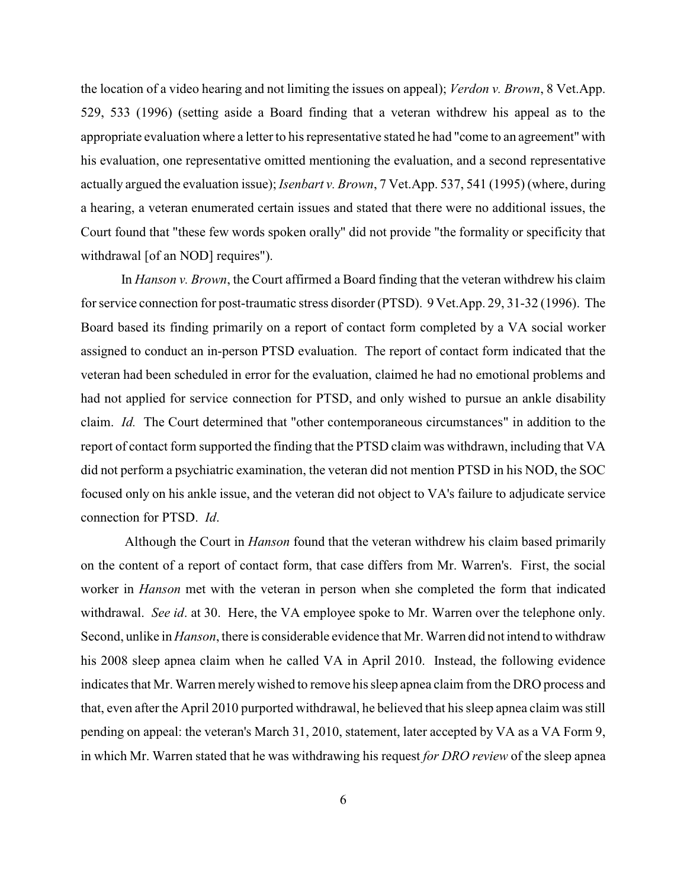the location of a video hearing and not limiting the issues on appeal); *Verdon v. Brown*, 8 Vet.App. 529, 533 (1996) (setting aside a Board finding that a veteran withdrew his appeal as to the appropriate evaluation where a letter to his representative stated he had "come to an agreement" with his evaluation, one representative omitted mentioning the evaluation, and a second representative actually argued the evaluation issue); *Isenbart v. Brown*, 7 Vet.App. 537, 541 (1995) (where, during a hearing, a veteran enumerated certain issues and stated that there were no additional issues, the Court found that "these few words spoken orally" did not provide "the formality or specificity that withdrawal [of an NOD] requires").

In *Hanson v. Brown*, the Court affirmed a Board finding that the veteran withdrew his claim for service connection for post-traumatic stress disorder (PTSD). 9 Vet.App. 29, 31-32 (1996). The Board based its finding primarily on a report of contact form completed by a VA social worker assigned to conduct an in-person PTSD evaluation. The report of contact form indicated that the veteran had been scheduled in error for the evaluation, claimed he had no emotional problems and had not applied for service connection for PTSD, and only wished to pursue an ankle disability claim. *Id.* The Court determined that "other contemporaneous circumstances" in addition to the report of contact form supported the finding that the PTSD claim was withdrawn, including that VA did not perform a psychiatric examination, the veteran did not mention PTSD in his NOD, the SOC focused only on his ankle issue, and the veteran did not object to VA's failure to adjudicate service connection for PTSD. *Id*.

Although the Court in *Hanson* found that the veteran withdrew his claim based primarily on the content of a report of contact form, that case differs from Mr. Warren's. First, the social worker in *Hanson* met with the veteran in person when she completed the form that indicated withdrawal. *See id*. at 30. Here, the VA employee spoke to Mr. Warren over the telephone only. Second, unlike in *Hanson*, there is considerable evidence that Mr. Warren did not intend to withdraw his 2008 sleep apnea claim when he called VA in April 2010. Instead, the following evidence indicates that Mr. Warren merelywished to remove his sleep apnea claim from the DRO process and that, even after the April 2010 purported withdrawal, he believed that his sleep apnea claim was still pending on appeal: the veteran's March 31, 2010, statement, later accepted by VA as a VA Form 9, in which Mr. Warren stated that he was withdrawing his request *for DRO review* of the sleep apnea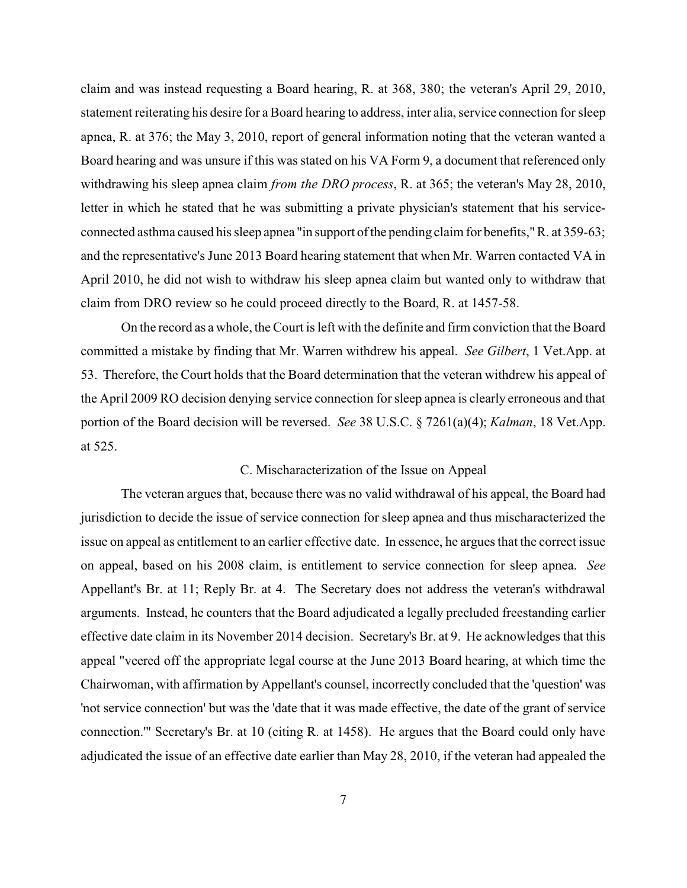claim and was instead requesting a Board hearing, R. at 368, 380; the veteran's April 29, 2010, statement reiterating his desire for a Board hearing to address, inter alia, service connection for sleep apnea, R. at 376; the May 3, 2010, report of general information noting that the veteran wanted a Board hearing and was unsure if this was stated on his VA Form 9, a document that referenced only withdrawing his sleep apnea claim *from the DRO process*, R. at 365; the veteran's May 28, 2010, letter in which he stated that he was submitting a private physician's statement that his serviceconnected asthma caused his sleep apnea "in support of the pending claim for benefits," R. at 359-63; and the representative's June 2013 Board hearing statement that when Mr. Warren contacted VA in April 2010, he did not wish to withdraw his sleep apnea claim but wanted only to withdraw that claim from DRO review so he could proceed directly to the Board, R. at 1457-58.

On the record as a whole, the Court is left with the definite and firm conviction that the Board committed a mistake by finding that Mr. Warren withdrew his appeal. *See Gilbert*, 1 Vet.App. at 53. Therefore, the Court holds that the Board determination that the veteran withdrew his appeal of the April 2009 RO decision denying service connection for sleep apnea is clearly erroneous and that portion of the Board decision will be reversed. *See* 38 U.S.C. § 7261(a)(4); *Kalman*, 18 Vet.App. at 525.

### C. Mischaracterization of the Issue on Appeal

The veteran argues that, because there was no valid withdrawal of his appeal, the Board had jurisdiction to decide the issue of service connection for sleep apnea and thus mischaracterized the issue on appeal as entitlement to an earlier effective date. In essence, he argues that the correct issue on appeal, based on his 2008 claim, is entitlement to service connection for sleep apnea. *See* Appellant's Br. at 11; Reply Br. at 4. The Secretary does not address the veteran's withdrawal arguments. Instead, he counters that the Board adjudicated a legally precluded freestanding earlier effective date claim in its November 2014 decision. Secretary's Br. at 9. He acknowledges that this appeal "veered off the appropriate legal course at the June 2013 Board hearing, at which time the Chairwoman, with affirmation by Appellant's counsel, incorrectly concluded that the 'question' was 'not service connection' but was the 'date that it was made effective, the date of the grant of service connection.'" Secretary's Br. at 10 (citing R. at 1458). He argues that the Board could only have adjudicated the issue of an effective date earlier than May 28, 2010, if the veteran had appealed the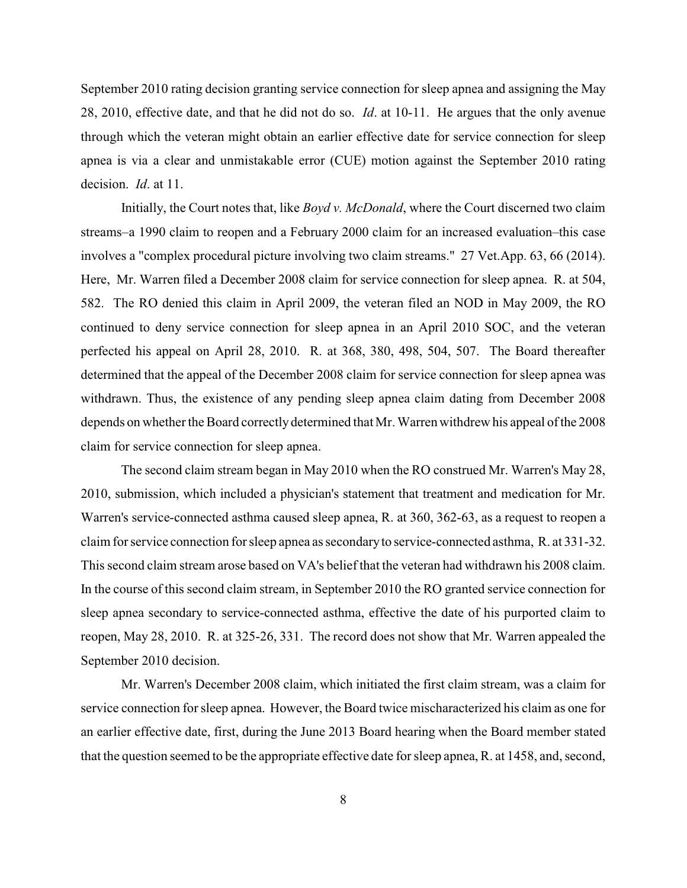September 2010 rating decision granting service connection for sleep apnea and assigning the May 28, 2010, effective date, and that he did not do so. *Id*. at 10-11. He argues that the only avenue through which the veteran might obtain an earlier effective date for service connection for sleep apnea is via a clear and unmistakable error (CUE) motion against the September 2010 rating decision. *Id*. at 11.

Initially, the Court notes that, like *Boyd v. McDonald*, where the Court discerned two claim streams–a 1990 claim to reopen and a February 2000 claim for an increased evaluation–this case involves a "complex procedural picture involving two claim streams." 27 Vet.App. 63, 66 (2014). Here, Mr. Warren filed a December 2008 claim for service connection for sleep apnea. R. at 504, 582. The RO denied this claim in April 2009, the veteran filed an NOD in May 2009, the RO continued to deny service connection for sleep apnea in an April 2010 SOC, and the veteran perfected his appeal on April 28, 2010. R. at 368, 380, 498, 504, 507. The Board thereafter determined that the appeal of the December 2008 claim for service connection for sleep apnea was withdrawn. Thus, the existence of any pending sleep apnea claim dating from December 2008 depends on whether the Board correctly determined that Mr. Warren withdrew his appeal of the 2008 claim for service connection for sleep apnea.

The second claim stream began in May 2010 when the RO construed Mr. Warren's May 28, 2010, submission, which included a physician's statement that treatment and medication for Mr. Warren's service-connected asthma caused sleep apnea, R. at 360, 362-63, as a request to reopen a claim for service connection for sleep apnea as secondaryto service-connected asthma, R. at 331-32. This second claim stream arose based on VA's belief that the veteran had withdrawn his 2008 claim. In the course of this second claim stream, in September 2010 the RO granted service connection for sleep apnea secondary to service-connected asthma, effective the date of his purported claim to reopen, May 28, 2010. R. at 325-26, 331. The record does not show that Mr. Warren appealed the September 2010 decision.

Mr. Warren's December 2008 claim, which initiated the first claim stream, was a claim for service connection for sleep apnea. However, the Board twice mischaracterized his claim as one for an earlier effective date, first, during the June 2013 Board hearing when the Board member stated that the question seemed to be the appropriate effective date for sleep apnea, R. at 1458, and, second,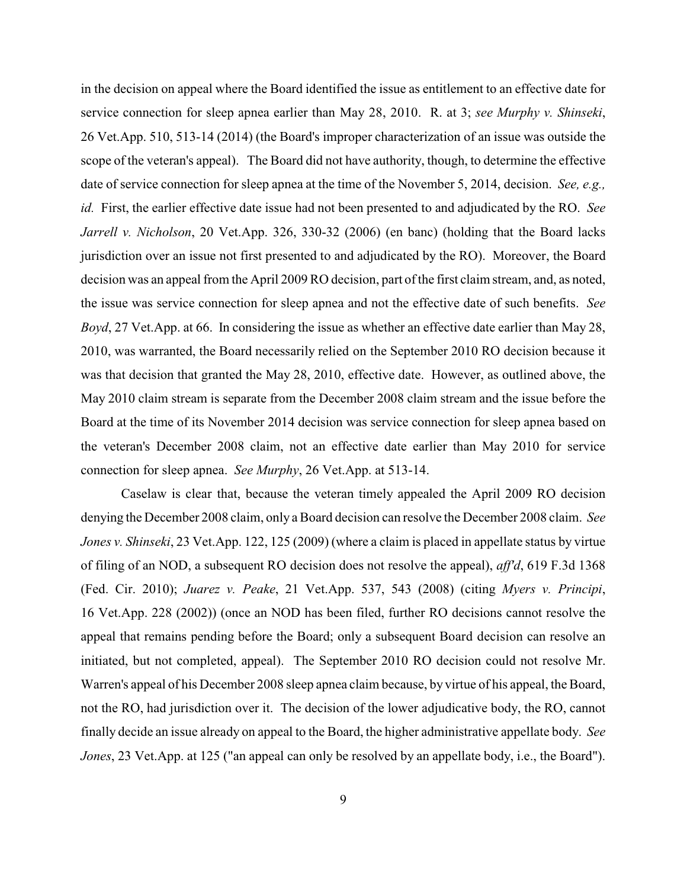in the decision on appeal where the Board identified the issue as entitlement to an effective date for service connection for sleep apnea earlier than May 28, 2010. R. at 3; *see Murphy v. Shinseki*, 26 Vet.App. 510, 513-14 (2014) (the Board's improper characterization of an issue was outside the scope of the veteran's appeal). The Board did not have authority, though, to determine the effective date of service connection for sleep apnea at the time of the November 5, 2014, decision. *See, e.g., id.* First, the earlier effective date issue had not been presented to and adjudicated by the RO. *See Jarrell v. Nicholson*, 20 Vet.App. 326, 330-32 (2006) (en banc) (holding that the Board lacks jurisdiction over an issue not first presented to and adjudicated by the RO). Moreover, the Board decision was an appeal from the April 2009 RO decision, part of the first claim stream, and, as noted, the issue was service connection for sleep apnea and not the effective date of such benefits. *See Boyd*, 27 Vet.App. at 66. In considering the issue as whether an effective date earlier than May 28, 2010, was warranted, the Board necessarily relied on the September 2010 RO decision because it was that decision that granted the May 28, 2010, effective date. However, as outlined above, the May 2010 claim stream is separate from the December 2008 claim stream and the issue before the Board at the time of its November 2014 decision was service connection for sleep apnea based on the veteran's December 2008 claim, not an effective date earlier than May 2010 for service connection for sleep apnea. *See Murphy*, 26 Vet.App. at 513-14.

Caselaw is clear that, because the veteran timely appealed the April 2009 RO decision denying the December 2008 claim, only a Board decision can resolve the December 2008 claim. *See Jones v. Shinseki*, 23 Vet.App. 122, 125 (2009) (where a claim is placed in appellate status by virtue of filing of an NOD, a subsequent RO decision does not resolve the appeal), *aff'd*, 619 F.3d 1368 (Fed. Cir. 2010); *Juarez v. Peake*, 21 Vet.App. 537, 543 (2008) (citing *Myers v. Principi*, 16 Vet.App. 228 (2002)) (once an NOD has been filed, further RO decisions cannot resolve the appeal that remains pending before the Board; only a subsequent Board decision can resolve an initiated, but not completed, appeal). The September 2010 RO decision could not resolve Mr. Warren's appeal of his December 2008 sleep apnea claim because, by virtue of his appeal, the Board, not the RO, had jurisdiction over it. The decision of the lower adjudicative body, the RO, cannot finally decide an issue already on appeal to the Board, the higher administrative appellate body. *See Jones*, 23 Vet.App. at 125 ("an appeal can only be resolved by an appellate body, i.e., the Board").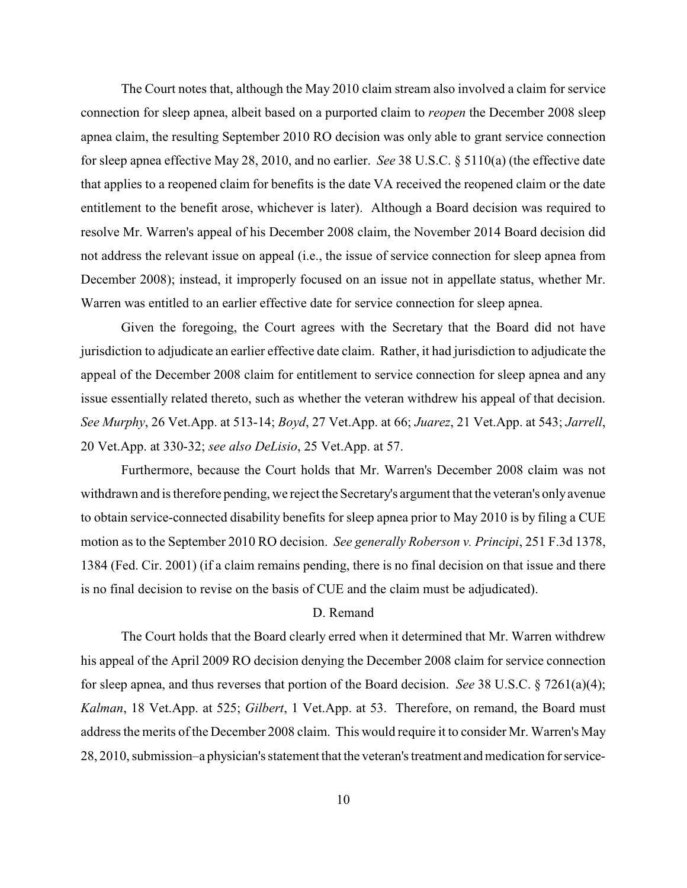The Court notes that, although the May 2010 claim stream also involved a claim for service connection for sleep apnea, albeit based on a purported claim to *reopen* the December 2008 sleep apnea claim, the resulting September 2010 RO decision was only able to grant service connection for sleep apnea effective May 28, 2010, and no earlier. *See* 38 U.S.C. § 5110(a) (the effective date that applies to a reopened claim for benefits is the date VA received the reopened claim or the date entitlement to the benefit arose, whichever is later). Although a Board decision was required to resolve Mr. Warren's appeal of his December 2008 claim, the November 2014 Board decision did not address the relevant issue on appeal (i.e., the issue of service connection for sleep apnea from December 2008); instead, it improperly focused on an issue not in appellate status, whether Mr. Warren was entitled to an earlier effective date for service connection for sleep apnea.

Given the foregoing, the Court agrees with the Secretary that the Board did not have jurisdiction to adjudicate an earlier effective date claim. Rather, it had jurisdiction to adjudicate the appeal of the December 2008 claim for entitlement to service connection for sleep apnea and any issue essentially related thereto, such as whether the veteran withdrew his appeal of that decision. *See Murphy*, 26 Vet.App. at 513-14; *Boyd*, 27 Vet.App. at 66; *Juarez*, 21 Vet.App. at 543; *Jarrell*, 20 Vet.App. at 330-32; *see also DeLisio*, 25 Vet.App. at 57.

Furthermore, because the Court holds that Mr. Warren's December 2008 claim was not withdrawn and is therefore pending, we reject the Secretary's argument that the veteran's onlyavenue to obtain service-connected disability benefits for sleep apnea prior to May 2010 is by filing a CUE motion as to the September 2010 RO decision. *See generally Roberson v. Principi*, 251 F.3d 1378, 1384 (Fed. Cir. 2001) (if a claim remains pending, there is no final decision on that issue and there is no final decision to revise on the basis of CUE and the claim must be adjudicated).

## D. Remand

The Court holds that the Board clearly erred when it determined that Mr. Warren withdrew his appeal of the April 2009 RO decision denying the December 2008 claim for service connection for sleep apnea, and thus reverses that portion of the Board decision. *See* 38 U.S.C. § 7261(a)(4); *Kalman*, 18 Vet.App. at 525; *Gilbert*, 1 Vet.App. at 53. Therefore, on remand, the Board must address the merits of the December 2008 claim. This would require it to consider Mr. Warren's May 28, 2010, submission–a physician's statement that the veteran's treatment and medication forservice